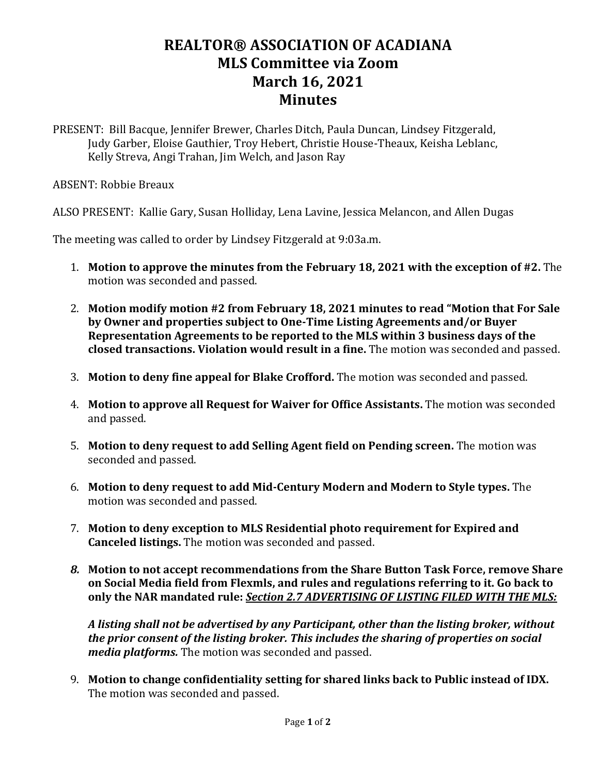## **REALTOR® ASSOCIATION OF ACADIANA MLS Committee via Zoom March 16, 2021 Minutes**

PRESENT: Bill Bacque, Jennifer Brewer, Charles Ditch, Paula Duncan, Lindsey Fitzgerald, Judy Garber, Eloise Gauthier, Troy Hebert, Christie House-Theaux, Keisha Leblanc, Kelly Streva, Angi Trahan, Jim Welch, and Jason Ray

ABSENT: Robbie Breaux

ALSO PRESENT: Kallie Gary, Susan Holliday, Lena Lavine, Jessica Melancon, and Allen Dugas

The meeting was called to order by Lindsey Fitzgerald at 9:03a.m.

- 1. **Motion to approve the minutes from the February 18, 2021 with the exception of #2.** The motion was seconded and passed.
- 2. **Motion modify motion #2 from February 18, 2021 minutes to read "Motion that For Sale by Owner and properties subject to One-Time Listing Agreements and/or Buyer Representation Agreements to be reported to the MLS within 3 business days of the closed transactions. Violation would result in a fine.** The motion was seconded and passed.
- 3. **Motion to deny fine appeal for Blake Crofford.** The motion was seconded and passed.
- 4. **Motion to approve all Request for Waiver for Office Assistants.** The motion was seconded and passed.
- 5. **Motion to deny request to add Selling Agent field on Pending screen.** The motion was seconded and passed.
- 6. **Motion to deny request to add Mid-Century Modern and Modern to Style types.** The motion was seconded and passed.
- 7. **Motion to deny exception to MLS Residential photo requirement for Expired and Canceled listings.** The motion was seconded and passed.
- *8.* **Motion to not accept recommendations from the Share Button Task Force, remove Share on Social Media field from Flexmls, and rules and regulations referring to it. Go back to only the NAR mandated rule:** *Section 2.7 ADVERTISING OF LISTING FILED WITH THE MLS:*

*A listing shall not be advertised by any Participant, other than the listing broker, without the prior consent of the listing broker. This includes the sharing of properties on social media platforms.* The motion was seconded and passed.

9. **Motion to change confidentiality setting for shared links back to Public instead of IDX.** The motion was seconded and passed.